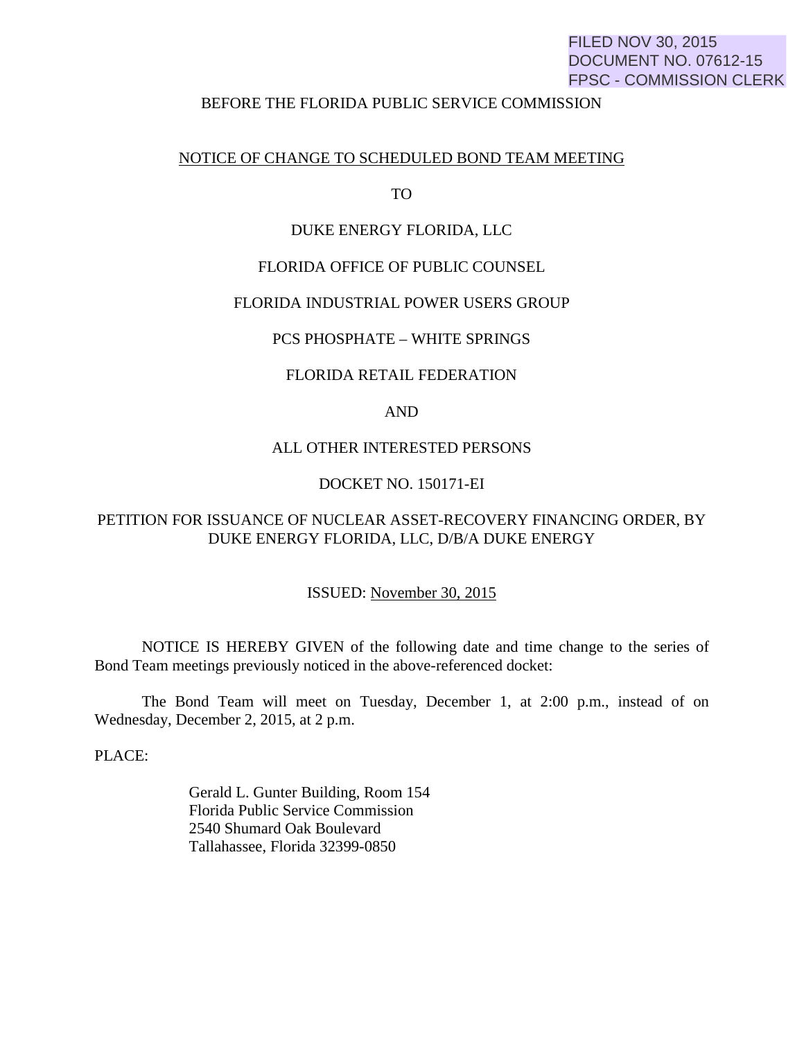# FILED NOV 30, 2015 DOCUMENT NO. 07612-15 FPSC - COMMISSION CLERK

#### BEFORE THE FLORIDA PUBLIC SERVICE COMMISSION

## NOTICE OF CHANGE TO SCHEDULED BOND TEAM MEETING

TO

#### DUKE ENERGY FLORIDA, LLC

#### FLORIDA OFFICE OF PUBLIC COUNSEL

#### FLORIDA INDUSTRIAL POWER USERS GROUP

#### PCS PHOSPHATE – WHITE SPRINGS

#### FLORIDA RETAIL FEDERATION

# AND

## ALL OTHER INTERESTED PERSONS

## DOCKET NO. 150171-EI

# PETITION FOR ISSUANCE OF NUCLEAR ASSET-RECOVERY FINANCING ORDER, BY DUKE ENERGY FLORIDA, LLC, D/B/A DUKE ENERGY

# ISSUED: November 30, 2015

 NOTICE IS HEREBY GIVEN of the following date and time change to the series of Bond Team meetings previously noticed in the above-referenced docket:

 The Bond Team will meet on Tuesday, December 1, at 2:00 p.m., instead of on Wednesday, December 2, 2015, at 2 p.m.

PLACE:

 Gerald L. Gunter Building, Room 154 Florida Public Service Commission 2540 Shumard Oak Boulevard Tallahassee, Florida 32399-0850